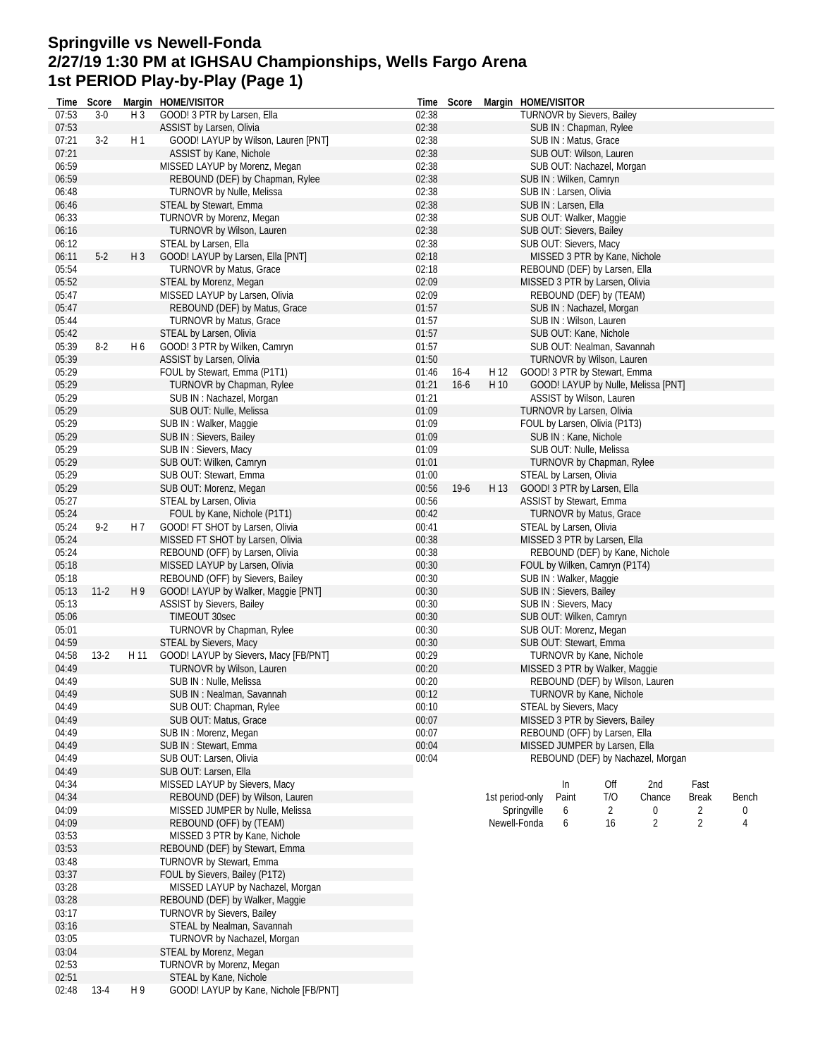## **Springville vs Newell-Fonda 2/27/19 1:30 PM at IGHSAU Championships, Wells Fargo Arena 1st PERIOD Play-by-Play (Page 1)**

| Time  | Score   |                | Margin HOME/VISITOR                   |       | Time Score |                 |             | Margin HOME/VISITOR             |     |                                     |                |       |
|-------|---------|----------------|---------------------------------------|-------|------------|-----------------|-------------|---------------------------------|-----|-------------------------------------|----------------|-------|
| 07:53 | $3-0$   | H <sub>3</sub> | GOOD! 3 PTR by Larsen, Ella           | 02:38 |            |                 |             | TURNOVR by Sievers, Bailey      |     |                                     |                |       |
| 07:53 |         |                | ASSIST by Larsen, Olivia              | 02:38 |            |                 |             | SUB IN: Chapman, Rylee          |     |                                     |                |       |
| 07:21 | $3-2$   | H <sub>1</sub> | GOOD! LAYUP by Wilson, Lauren [PNT]   | 02:38 |            |                 |             | SUB IN: Matus, Grace            |     |                                     |                |       |
| 07:21 |         |                | ASSIST by Kane, Nichole               | 02:38 |            |                 |             | SUB OUT: Wilson, Lauren         |     |                                     |                |       |
| 06:59 |         |                | MISSED LAYUP by Morenz, Megan         | 02:38 |            |                 |             | SUB OUT: Nachazel, Morgan       |     |                                     |                |       |
|       |         |                |                                       |       |            |                 |             |                                 |     |                                     |                |       |
| 06:59 |         |                | REBOUND (DEF) by Chapman, Rylee       | 02:38 |            |                 |             | SUB IN: Wilken, Camryn          |     |                                     |                |       |
| 06:48 |         |                | TURNOVR by Nulle, Melissa             | 02:38 |            |                 |             | SUB IN : Larsen, Olivia         |     |                                     |                |       |
| 06:46 |         |                | STEAL by Stewart, Emma                | 02:38 |            |                 |             | SUB IN : Larsen, Ella           |     |                                     |                |       |
| 06:33 |         |                | TURNOVR by Morenz, Megan              | 02:38 |            |                 |             | SUB OUT: Walker, Maggie         |     |                                     |                |       |
| 06:16 |         |                | TURNOVR by Wilson, Lauren             | 02:38 |            |                 |             | SUB OUT: Sievers, Bailey        |     |                                     |                |       |
| 06:12 |         |                | STEAL by Larsen, Ella                 | 02:38 |            |                 |             | SUB OUT: Sievers, Macy          |     |                                     |                |       |
| 06:11 | $5-2$   |                | GOOD! LAYUP by Larsen, Ella [PNT]     | 02:18 |            |                 |             | MISSED 3 PTR by Kane, Nichole   |     |                                     |                |       |
|       |         | H <sub>3</sub> |                                       |       |            |                 |             |                                 |     |                                     |                |       |
| 05:54 |         |                | <b>TURNOVR by Matus, Grace</b>        | 02:18 |            |                 |             | REBOUND (DEF) by Larsen, Ella   |     |                                     |                |       |
| 05:52 |         |                | STEAL by Morenz, Megan                | 02:09 |            |                 |             | MISSED 3 PTR by Larsen, Olivia  |     |                                     |                |       |
| 05:47 |         |                | MISSED LAYUP by Larsen, Olivia        | 02:09 |            |                 |             | REBOUND (DEF) by (TEAM)         |     |                                     |                |       |
| 05:47 |         |                | REBOUND (DEF) by Matus, Grace         | 01:57 |            |                 |             | SUB IN: Nachazel, Morgan        |     |                                     |                |       |
| 05:44 |         |                | TURNOVR by Matus, Grace               | 01:57 |            |                 |             | SUB IN: Wilson, Lauren          |     |                                     |                |       |
| 05:42 |         |                | STEAL by Larsen, Olivia               | 01:57 |            |                 |             | SUB OUT: Kane, Nichole          |     |                                     |                |       |
|       |         |                |                                       |       |            |                 |             |                                 |     |                                     |                |       |
| 05:39 | $8-2$   | H <sub>6</sub> | GOOD! 3 PTR by Wilken, Camryn         | 01:57 |            |                 |             | SUB OUT: Nealman, Savannah      |     |                                     |                |       |
| 05:39 |         |                | ASSIST by Larsen, Olivia              | 01:50 |            |                 |             | TURNOVR by Wilson, Lauren       |     |                                     |                |       |
| 05:29 |         |                | FOUL by Stewart, Emma (P1T1)          | 01:46 | $16 - 4$   | H 12            |             | GOOD! 3 PTR by Stewart, Emma    |     |                                     |                |       |
| 05:29 |         |                | TURNOVR by Chapman, Rylee             | 01:21 | $16 - 6$   | H 10            |             |                                 |     | GOOD! LAYUP by Nulle, Melissa [PNT] |                |       |
| 05:29 |         |                | SUB IN: Nachazel, Morgan              | 01:21 |            |                 |             | ASSIST by Wilson, Lauren        |     |                                     |                |       |
| 05:29 |         |                | SUB OUT: Nulle, Melissa               | 01:09 |            |                 |             | TURNOVR by Larsen, Olivia       |     |                                     |                |       |
| 05:29 |         |                | SUB IN: Walker, Maggie                | 01:09 |            |                 |             |                                 |     |                                     |                |       |
|       |         |                |                                       |       |            |                 |             | FOUL by Larsen, Olivia (P1T3)   |     |                                     |                |       |
| 05:29 |         |                | SUB IN : Sievers, Bailey              | 01:09 |            |                 |             | SUB IN: Kane, Nichole           |     |                                     |                |       |
| 05:29 |         |                | SUB IN: Sievers, Macy                 | 01:09 |            |                 |             | SUB OUT: Nulle, Melissa         |     |                                     |                |       |
| 05:29 |         |                | SUB OUT: Wilken, Camryn               | 01:01 |            |                 |             | TURNOVR by Chapman, Rylee       |     |                                     |                |       |
| 05:29 |         |                | SUB OUT: Stewart, Emma                | 01:00 |            |                 |             | STEAL by Larsen, Olivia         |     |                                     |                |       |
| 05:29 |         |                | SUB OUT: Morenz, Megan                | 00:56 | $19-6$     | H 13            |             | GOOD! 3 PTR by Larsen, Ella     |     |                                     |                |       |
| 05:27 |         |                | STEAL by Larsen, Olivia               | 00:56 |            |                 |             | <b>ASSIST by Stewart, Emma</b>  |     |                                     |                |       |
|       |         |                |                                       |       |            |                 |             |                                 |     |                                     |                |       |
| 05:24 |         |                | FOUL by Kane, Nichole (P1T1)          | 00:42 |            |                 |             | <b>TURNOVR by Matus, Grace</b>  |     |                                     |                |       |
| 05:24 | $9 - 2$ | H <sub>7</sub> | GOOD! FT SHOT by Larsen, Olivia       | 00:41 |            |                 |             | STEAL by Larsen, Olivia         |     |                                     |                |       |
| 05:24 |         |                | MISSED FT SHOT by Larsen, Olivia      | 00:38 |            |                 |             | MISSED 3 PTR by Larsen, Ella    |     |                                     |                |       |
| 05:24 |         |                | REBOUND (OFF) by Larsen, Olivia       | 00:38 |            |                 |             |                                 |     | REBOUND (DEF) by Kane, Nichole      |                |       |
| 05:18 |         |                | MISSED LAYUP by Larsen, Olivia        | 00:30 |            |                 |             | FOUL by Wilken, Camryn (P1T4)   |     |                                     |                |       |
| 05:18 |         |                | REBOUND (OFF) by Sievers, Bailey      | 00:30 |            |                 |             | SUB IN: Walker, Maggie          |     |                                     |                |       |
| 05:13 | $11-2$  | H 9            | GOOD! LAYUP by Walker, Maggie [PNT]   | 00:30 |            |                 |             | SUB IN : Sievers, Bailey        |     |                                     |                |       |
|       |         |                |                                       |       |            |                 |             |                                 |     |                                     |                |       |
| 05:13 |         |                | ASSIST by Sievers, Bailey             | 00:30 |            |                 |             | SUB IN: Sievers, Macy           |     |                                     |                |       |
| 05:06 |         |                | TIMEOUT 30sec                         | 00:30 |            |                 |             | SUB OUT: Wilken, Camryn         |     |                                     |                |       |
| 05:01 |         |                | TURNOVR by Chapman, Rylee             | 00:30 |            |                 |             | SUB OUT: Morenz, Megan          |     |                                     |                |       |
| 04:59 |         |                | STEAL by Sievers, Macy                | 00:30 |            |                 |             | SUB OUT: Stewart, Emma          |     |                                     |                |       |
| 04:58 | $13-2$  | H 11           | GOOD! LAYUP by Sievers, Macy [FB/PNT] | 00:29 |            |                 |             | TURNOVR by Kane, Nichole        |     |                                     |                |       |
| 04:49 |         |                | TURNOVR by Wilson, Lauren             | 00:20 |            |                 |             | MISSED 3 PTR by Walker, Maggie  |     |                                     |                |       |
| 04:49 |         |                | SUB IN : Nulle, Melissa               | 00:20 |            |                 |             |                                 |     | REBOUND (DEF) by Wilson, Lauren     |                |       |
|       |         |                |                                       |       |            |                 |             |                                 |     |                                     |                |       |
| 04:49 |         |                | SUB IN : Nealman, Savannah            | 00:12 |            |                 |             | TURNOVR by Kane, Nichole        |     |                                     |                |       |
| 04:49 |         |                | SUB OUT: Chapman, Rylee               | 00:10 |            |                 |             | STEAL by Sievers, Macy          |     |                                     |                |       |
| 04:49 |         |                | SUB OUT: Matus, Grace                 | 00:07 |            |                 |             | MISSED 3 PTR by Sievers, Bailey |     |                                     |                |       |
| 04:49 |         |                | SUB IN: Morenz, Megan                 | 00:07 |            |                 |             | REBOUND (OFF) by Larsen, Ella   |     |                                     |                |       |
| 04:49 |         |                | SUB IN: Stewart, Emma                 | 00:04 |            |                 |             | MISSED JUMPER by Larsen, Ella   |     |                                     |                |       |
| 04:49 |         |                | SUB OUT: Larsen, Olivia               | 00:04 |            |                 |             |                                 |     | REBOUND (DEF) by Nachazel, Morgan   |                |       |
| 04:49 |         |                | SUB OUT: Larsen, Ella                 |       |            |                 |             |                                 |     |                                     |                |       |
| 04:34 |         |                | MISSED LAYUP by Sievers, Macy         |       |            |                 |             |                                 | Off | 2nd                                 | Fast           |       |
|       |         |                |                                       |       |            |                 |             | In                              |     |                                     |                |       |
| 04:34 |         |                | REBOUND (DEF) by Wilson, Lauren       |       |            | 1st period-only |             | Paint                           | T/O | Chance                              | <b>Break</b>   | Bench |
| 04:09 |         |                | MISSED JUMPER by Nulle, Melissa       |       |            |                 | Springville | 6                               | 2   | 0                                   | 2              | 0     |
| 04:09 |         |                | REBOUND (OFF) by (TEAM)               |       |            | Newell-Fonda    |             | 6                               | 16  | 2                                   | $\overline{2}$ | 4     |
| 03:53 |         |                | MISSED 3 PTR by Kane, Nichole         |       |            |                 |             |                                 |     |                                     |                |       |
| 03:53 |         |                | REBOUND (DEF) by Stewart, Emma        |       |            |                 |             |                                 |     |                                     |                |       |
| 03:48 |         |                | TURNOVR by Stewart, Emma              |       |            |                 |             |                                 |     |                                     |                |       |
| 03:37 |         |                | FOUL by Sievers, Bailey (P1T2)        |       |            |                 |             |                                 |     |                                     |                |       |
|       |         |                |                                       |       |            |                 |             |                                 |     |                                     |                |       |
| 03:28 |         |                | MISSED LAYUP by Nachazel, Morgan      |       |            |                 |             |                                 |     |                                     |                |       |
| 03:28 |         |                | REBOUND (DEF) by Walker, Maggie       |       |            |                 |             |                                 |     |                                     |                |       |
| 03:17 |         |                | TURNOVR by Sievers, Bailey            |       |            |                 |             |                                 |     |                                     |                |       |
| 03:16 |         |                | STEAL by Nealman, Savannah            |       |            |                 |             |                                 |     |                                     |                |       |
| 03:05 |         |                | TURNOVR by Nachazel, Morgan           |       |            |                 |             |                                 |     |                                     |                |       |
| 03:04 |         |                | STEAL by Morenz, Megan                |       |            |                 |             |                                 |     |                                     |                |       |
| 02:53 |         |                | TURNOVR by Morenz, Megan              |       |            |                 |             |                                 |     |                                     |                |       |
| 02:51 |         |                | STEAL by Kane, Nichole                |       |            |                 |             |                                 |     |                                     |                |       |
|       |         |                |                                       |       |            |                 |             |                                 |     |                                     |                |       |
| 02:48 | $13-4$  | H 9            | GOOD! LAYUP by Kane, Nichole [FB/PNT] |       |            |                 |             |                                 |     |                                     |                |       |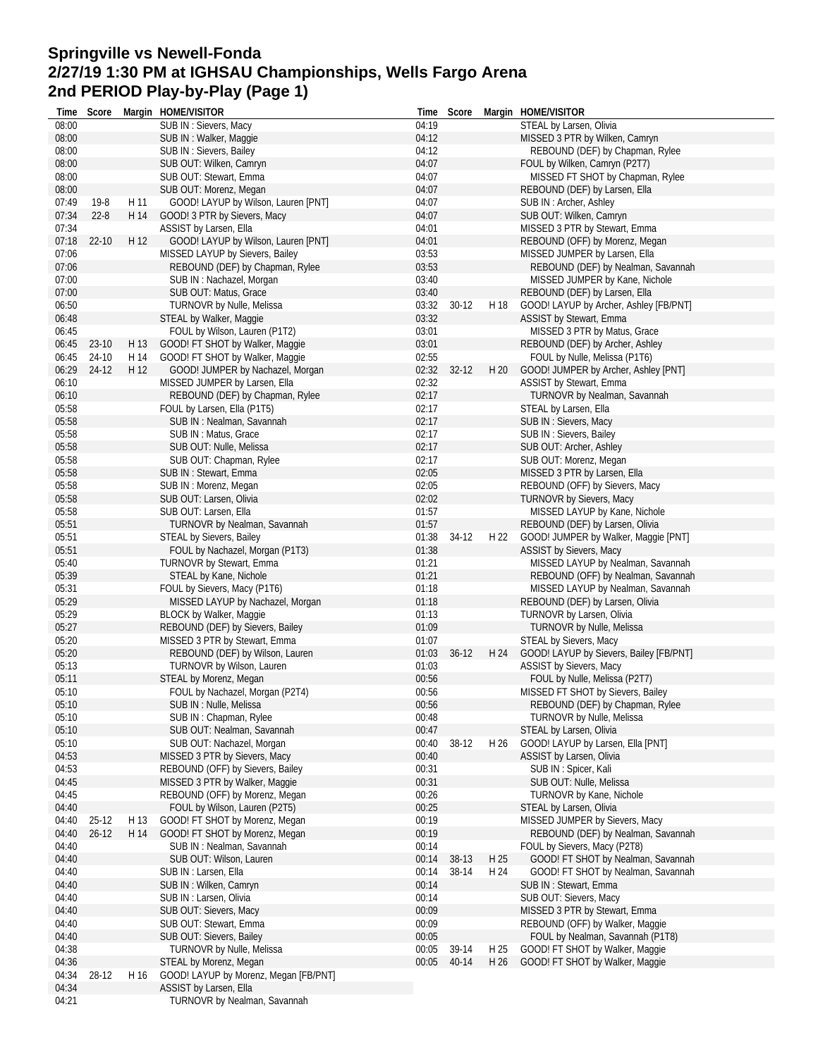# **Springville vs Newell-Fonda 2/27/19 1:30 PM at IGHSAU Championships, Wells Fargo Arena 2nd PERIOD Play-by-Play (Page 1)**

| Time           | Score     |      | Margin HOME/VISITOR                   |       | Time Score  |      | Margin HOME/VISITOR                     |
|----------------|-----------|------|---------------------------------------|-------|-------------|------|-----------------------------------------|
| 08:00          |           |      | SUB IN: Sievers, Macy                 | 04:19 |             |      | STEAL by Larsen, Olivia                 |
| 08:00          |           |      | SUB IN: Walker, Maggie                | 04:12 |             |      | MISSED 3 PTR by Wilken, Camryn          |
| 08:00          |           |      | SUB IN : Sievers, Bailey              | 04:12 |             |      | REBOUND (DEF) by Chapman, Rylee         |
| 08:00          |           |      | SUB OUT: Wilken, Camryn               | 04:07 |             |      | FOUL by Wilken, Camryn (P2T7)           |
| 08:00          |           |      | SUB OUT: Stewart, Emma                | 04:07 |             |      | MISSED FT SHOT by Chapman, Rylee        |
| 08:00          |           |      | SUB OUT: Morenz, Megan                | 04:07 |             |      | REBOUND (DEF) by Larsen, Ella           |
| 07:49          | 19-8      | H 11 | GOOD! LAYUP by Wilson, Lauren [PNT]   | 04:07 |             |      | SUB IN: Archer, Ashley                  |
| 07:34          | $22 - 8$  | H 14 | GOOD! 3 PTR by Sievers, Macy          | 04:07 |             |      | SUB OUT: Wilken, Camryn                 |
| 07:34          |           |      | ASSIST by Larsen, Ella                | 04:01 |             |      | MISSED 3 PTR by Stewart, Emma           |
| 07:18          | $22 - 10$ | H 12 |                                       | 04:01 |             |      | REBOUND (OFF) by Morenz, Megan          |
|                |           |      | GOOD! LAYUP by Wilson, Lauren [PNT]   |       |             |      |                                         |
| 07:06          |           |      | MISSED LAYUP by Sievers, Bailey       | 03:53 |             |      | MISSED JUMPER by Larsen, Ella           |
| 07:06          |           |      | REBOUND (DEF) by Chapman, Rylee       | 03:53 |             |      | REBOUND (DEF) by Nealman, Savannah      |
| 07:00          |           |      | SUB IN: Nachazel, Morgan              | 03:40 |             |      | MISSED JUMPER by Kane, Nichole          |
| 07:00          |           |      | SUB OUT: Matus, Grace                 | 03:40 |             |      | REBOUND (DEF) by Larsen, Ella           |
| 06:50          |           |      | TURNOVR by Nulle, Melissa             | 03:32 | $30-12$     | H 18 | GOOD! LAYUP by Archer, Ashley [FB/PNT]  |
| 06:48          |           |      | STEAL by Walker, Maggie               | 03:32 |             |      | ASSIST by Stewart, Emma                 |
| 06:45          |           |      | FOUL by Wilson, Lauren (P1T2)         | 03:01 |             |      | MISSED 3 PTR by Matus, Grace            |
| 06:45          | 23-10     | H 13 | GOOD! FT SHOT by Walker, Maggie       | 03:01 |             |      | REBOUND (DEF) by Archer, Ashley         |
| 06:45          | 24-10     | H 14 | GOOD! FT SHOT by Walker, Maggie       | 02:55 |             |      | FOUL by Nulle, Melissa (P1T6)           |
| 06:29          | 24-12     | H 12 | GOOD! JUMPER by Nachazel, Morgan      | 02:32 | $32 - 12$   | H 20 | GOOD! JUMPER by Archer, Ashley [PNT]    |
| 06:10          |           |      | MISSED JUMPER by Larsen, Ella         | 02:32 |             |      | ASSIST by Stewart, Emma                 |
| 06:10          |           |      | REBOUND (DEF) by Chapman, Rylee       | 02:17 |             |      | TURNOVR by Nealman, Savannah            |
| 05:58          |           |      | FOUL by Larsen, Ella (P1T5)           | 02:17 |             |      | STEAL by Larsen, Ella                   |
| 05:58          |           |      | SUB IN: Nealman, Savannah             | 02:17 |             |      | SUB IN: Sievers, Macy                   |
| 05:58          |           |      | SUB IN: Matus, Grace                  | 02:17 |             |      | SUB IN: Sievers, Bailey                 |
| 05:58          |           |      | SUB OUT: Nulle, Melissa               | 02:17 |             |      | SUB OUT: Archer, Ashley                 |
| 05:58          |           |      | SUB OUT: Chapman, Rylee               | 02:17 |             |      | SUB OUT: Morenz, Megan                  |
|                |           |      |                                       | 02:05 |             |      |                                         |
| 05:58          |           |      | SUB IN: Stewart, Emma                 |       |             |      | MISSED 3 PTR by Larsen, Ella            |
| 05:58          |           |      | SUB IN: Morenz, Megan                 | 02:05 |             |      | REBOUND (OFF) by Sievers, Macy          |
| 05:58          |           |      | SUB OUT: Larsen, Olivia               | 02:02 |             |      | TURNOVR by Sievers, Macy                |
| 05:58          |           |      | SUB OUT: Larsen, Ella                 | 01:57 |             |      | MISSED LAYUP by Kane, Nichole           |
| 05:51          |           |      | TURNOVR by Nealman, Savannah          | 01:57 |             |      | REBOUND (DEF) by Larsen, Olivia         |
| 05:51          |           |      | STEAL by Sievers, Bailey              | 01:38 | 34-12       | H 22 | GOOD! JUMPER by Walker, Maggie [PNT]    |
| 05:51          |           |      | FOUL by Nachazel, Morgan (P1T3)       | 01:38 |             |      | <b>ASSIST by Sievers, Macy</b>          |
| 05:40          |           |      | TURNOVR by Stewart, Emma              | 01:21 |             |      | MISSED LAYUP by Nealman, Savannah       |
| 05:39          |           |      | STEAL by Kane, Nichole                | 01:21 |             |      | REBOUND (OFF) by Nealman, Savannah      |
| 05:31          |           |      | FOUL by Sievers, Macy (P1T6)          | 01:18 |             |      | MISSED LAYUP by Nealman, Savannah       |
| 05:29          |           |      | MISSED LAYUP by Nachazel, Morgan      | 01:18 |             |      | REBOUND (DEF) by Larsen, Olivia         |
| 05:29          |           |      | <b>BLOCK by Walker, Maggie</b>        | 01:13 |             |      | TURNOVR by Larsen, Olivia               |
| 05:27          |           |      | REBOUND (DEF) by Sievers, Bailey      | 01:09 |             |      | TURNOVR by Nulle, Melissa               |
| 05:20          |           |      | MISSED 3 PTR by Stewart, Emma         | 01:07 |             |      | STEAL by Sievers, Macy                  |
| 05:20          |           |      | REBOUND (DEF) by Wilson, Lauren       |       | 01:03 36-12 | H 24 | GOOD! LAYUP by Sievers, Bailey [FB/PNT] |
| 05:13          |           |      | TURNOVR by Wilson, Lauren             | 01:03 |             |      | ASSIST by Sievers, Macy                 |
| 05:11          |           |      | STEAL by Morenz, Megan                | 00:56 |             |      | FOUL by Nulle, Melissa (P2T7)           |
| 05:10          |           |      | FOUL by Nachazel, Morgan (P2T4)       | 00:56 |             |      | MISSED FT SHOT by Sievers, Bailey       |
| 05:10          |           |      | SUB IN: Nulle, Melissa                | 00:56 |             |      | REBOUND (DEF) by Chapman, Rylee         |
| 05:10          |           |      | SUB IN: Chapman, Rylee                | 00:48 |             |      | TURNOVR by Nulle, Melissa               |
|                |           |      | SUB OUT: Nealman, Savannah            |       |             |      |                                         |
| 05:10<br>05:10 |           |      | SUB OUT: Nachazel, Morgan             | 00:47 | 38-12       | H 26 | STEAL by Larsen, Olivia                 |
|                |           |      |                                       | 00:40 |             |      | GOOD! LAYUP by Larsen, Ella [PNT]       |
| 04:53          |           |      | MISSED 3 PTR by Sievers, Macy         | 00:40 |             |      | ASSIST by Larsen, Olivia                |
| 04:53          |           |      | REBOUND (OFF) by Sievers, Bailey      | 00:31 |             |      | SUB IN: Spicer, Kali                    |
| 04:45          |           |      | MISSED 3 PTR by Walker, Maggie        | 00:31 |             |      | SUB OUT: Nulle, Melissa                 |
| 04:45          |           |      | REBOUND (OFF) by Morenz, Megan        | 00:26 |             |      | TURNOVR by Kane, Nichole                |
| 04:40          |           |      | FOUL by Wilson, Lauren (P2T5)         | 00:25 |             |      | STEAL by Larsen, Olivia                 |
| 04:40          | 25-12     | H 13 | GOOD! FT SHOT by Morenz, Megan        | 00:19 |             |      | MISSED JUMPER by Sievers, Macy          |
| 04:40          | $26-12$   | H 14 | GOOD! FT SHOT by Morenz, Megan        | 00:19 |             |      | REBOUND (DEF) by Nealman, Savannah      |
| 04:40          |           |      | SUB IN: Nealman, Savannah             | 00:14 |             |      | FOUL by Sievers, Macy (P2T8)            |
| 04:40          |           |      | SUB OUT: Wilson, Lauren               | 00:14 | 38-13       | H 25 | GOOD! FT SHOT by Nealman, Savannah      |
| 04:40          |           |      | SUB IN : Larsen, Ella                 | 00:14 | 38-14       | H 24 | GOOD! FT SHOT by Nealman, Savannah      |
| 04:40          |           |      | SUB IN: Wilken, Camryn                | 00:14 |             |      | SUB IN: Stewart, Emma                   |
| 04:40          |           |      | SUB IN: Larsen, Olivia                | 00:14 |             |      | SUB OUT: Sievers, Macy                  |
| 04:40          |           |      | SUB OUT: Sievers, Macy                | 00:09 |             |      | MISSED 3 PTR by Stewart, Emma           |
| 04:40          |           |      | SUB OUT: Stewart, Emma                | 00:09 |             |      | REBOUND (OFF) by Walker, Maggie         |
| 04:40          |           |      | SUB OUT: Sievers, Bailey              | 00:05 |             |      | FOUL by Nealman, Savannah (P1T8)        |
| 04:38          |           |      | TURNOVR by Nulle, Melissa             | 00:05 | 39-14       | H 25 | GOOD! FT SHOT by Walker, Maggie         |
| 04:36          |           |      | STEAL by Morenz, Megan                | 00:05 | 40-14       | H 26 | GOOD! FT SHOT by Walker, Maggie         |
| 04:34          | 28-12     | H 16 | GOOD! LAYUP by Morenz, Megan [FB/PNT] |       |             |      |                                         |
| 04:34          |           |      | ASSIST by Larsen, Ella                |       |             |      |                                         |
| 04:21          |           |      | TURNOVR by Nealman, Savannah          |       |             |      |                                         |
|                |           |      |                                       |       |             |      |                                         |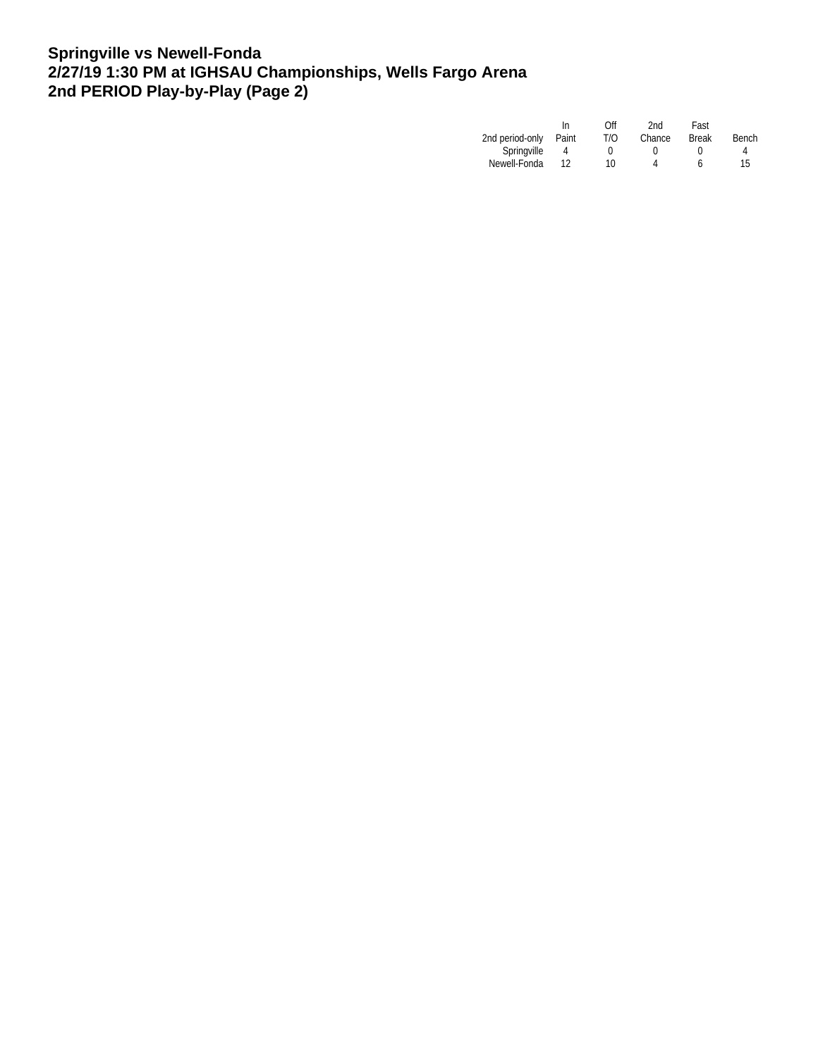## **Springville vs Newell-Fonda 2/27/19 1:30 PM at IGHSAU Championships, Wells Fargo Arena 2nd PERIOD Play-by-Play (Page 2)**

|                 | In    | Off | 2nd    | Fast         |       |
|-----------------|-------|-----|--------|--------------|-------|
| 2nd period-only | Paint | T/O | Chance | <b>Break</b> | Bench |
| Springville     |       |     |        |              | 4     |
| Newell-Fonda    |       | 10  |        |              | 15    |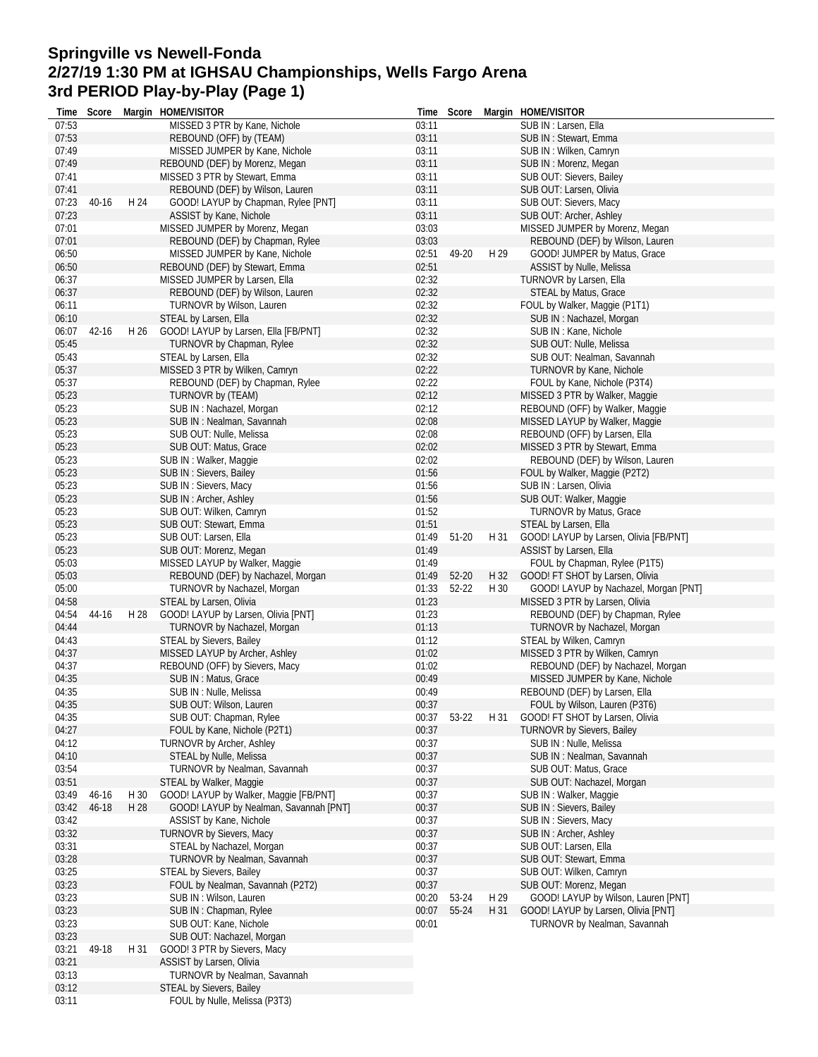## **Springville vs Newell-Fonda 2/27/19 1:30 PM at IGHSAU Championships, Wells Fargo Arena 3rd PERIOD Play-by-Play (Page 1)**

|                | Time Score |      | Margin HOME/VISITOR                              |       | Time Score  |      | Margin HOME/VISITOR                    |
|----------------|------------|------|--------------------------------------------------|-------|-------------|------|----------------------------------------|
| 07:53          |            |      | MISSED 3 PTR by Kane, Nichole                    | 03:11 |             |      | SUB IN: Larsen, Ella                   |
| 07:53          |            |      | REBOUND (OFF) by (TEAM)                          | 03:11 |             |      | SUB IN: Stewart, Emma                  |
| 07:49          |            |      | MISSED JUMPER by Kane, Nichole                   | 03:11 |             |      | SUB IN : Wilken, Camryn                |
| 07:49          |            |      | REBOUND (DEF) by Morenz, Megan                   | 03:11 |             |      | SUB IN: Morenz, Megan                  |
| 07:41          |            |      | MISSED 3 PTR by Stewart, Emma                    | 03:11 |             |      | SUB OUT: Sievers, Bailey               |
| 07:41          |            |      | REBOUND (DEF) by Wilson, Lauren                  | 03:11 |             |      | SUB OUT: Larsen, Olivia                |
| 07:23          | $40 - 16$  | H 24 | GOOD! LAYUP by Chapman, Rylee [PNT]              | 03:11 |             |      | SUB OUT: Sievers, Macy                 |
| 07:23          |            |      | ASSIST by Kane, Nichole                          | 03:11 |             |      | SUB OUT: Archer, Ashley                |
| 07:01          |            |      | MISSED JUMPER by Morenz, Megan                   | 03:03 |             |      | MISSED JUMPER by Morenz, Megan         |
| 07:01          |            |      | REBOUND (DEF) by Chapman, Rylee                  | 03:03 |             |      | REBOUND (DEF) by Wilson, Lauren        |
| 06:50          |            |      | MISSED JUMPER by Kane, Nichole                   | 02:51 | 49-20       | H 29 | GOOD! JUMPER by Matus, Grace           |
| 06:50          |            |      | REBOUND (DEF) by Stewart, Emma                   | 02:51 |             |      | ASSIST by Nulle, Melissa               |
| 06:37          |            |      | MISSED JUMPER by Larsen, Ella                    | 02:32 |             |      | TURNOVR by Larsen, Ella                |
| 06:37          |            |      | REBOUND (DEF) by Wilson, Lauren                  | 02:32 |             |      | STEAL by Matus, Grace                  |
| 06:11          |            |      | TURNOVR by Wilson, Lauren                        | 02:32 |             |      | FOUL by Walker, Maggie (P1T1)          |
| 06:10          |            |      | STEAL by Larsen, Ella                            | 02:32 |             |      | SUB IN: Nachazel, Morgan               |
| 06:07          | $42 - 16$  | H 26 | GOOD! LAYUP by Larsen, Ella [FB/PNT]             | 02:32 |             |      | SUB IN: Kane, Nichole                  |
| 05:45          |            |      | TURNOVR by Chapman, Rylee                        | 02:32 |             |      | SUB OUT: Nulle, Melissa                |
| 05:43          |            |      | STEAL by Larsen, Ella                            | 02:32 |             |      | SUB OUT: Nealman, Savannah             |
| 05:37          |            |      | MISSED 3 PTR by Wilken, Camryn                   | 02:22 |             |      | TURNOVR by Kane, Nichole               |
| 05:37          |            |      | REBOUND (DEF) by Chapman, Rylee                  | 02:22 |             |      | FOUL by Kane, Nichole (P3T4)           |
| 05:23          |            |      | TURNOVR by (TEAM)                                | 02:12 |             |      | MISSED 3 PTR by Walker, Maggie         |
| 05:23          |            |      | SUB IN: Nachazel, Morgan                         | 02:12 |             |      | REBOUND (OFF) by Walker, Maggie        |
| 05:23          |            |      | SUB IN: Nealman, Savannah                        | 02:08 |             |      | MISSED LAYUP by Walker, Maggie         |
| 05:23          |            |      |                                                  | 02:08 |             |      |                                        |
| 05:23          |            |      | SUB OUT: Nulle, Melissa<br>SUB OUT: Matus, Grace | 02:02 |             |      | REBOUND (OFF) by Larsen, Ella          |
|                |            |      |                                                  |       |             |      | MISSED 3 PTR by Stewart, Emma          |
| 05:23          |            |      | SUB IN: Walker, Maggie                           | 02:02 |             |      | REBOUND (DEF) by Wilson, Lauren        |
| 05:23          |            |      | SUB IN: Sievers, Bailey                          | 01:56 |             |      | FOUL by Walker, Maggie (P2T2)          |
| 05:23          |            |      | SUB IN: Sievers, Macy                            | 01:56 |             |      | SUB IN : Larsen, Olivia                |
| 05:23          |            |      | SUB IN: Archer, Ashley                           | 01:56 |             |      | SUB OUT: Walker, Maggie                |
| 05:23          |            |      | SUB OUT: Wilken, Camryn                          | 01:52 |             |      | <b>TURNOVR by Matus, Grace</b>         |
| 05:23          |            |      | SUB OUT: Stewart, Emma                           | 01:51 |             |      | STEAL by Larsen, Ella                  |
| 05:23          |            |      | SUB OUT: Larsen, Ella                            | 01:49 | 51-20       | H 31 | GOOD! LAYUP by Larsen, Olivia [FB/PNT] |
| 05:23          |            |      | SUB OUT: Morenz, Megan                           | 01:49 |             |      | ASSIST by Larsen, Ella                 |
| 05:03          |            |      | MISSED LAYUP by Walker, Maggie                   | 01:49 |             |      | FOUL by Chapman, Rylee (P1T5)          |
| 05:03          |            |      | REBOUND (DEF) by Nachazel, Morgan                | 01:49 | 52-20       | H 32 | GOOD! FT SHOT by Larsen, Olivia        |
| 05:00          |            |      | TURNOVR by Nachazel, Morgan                      | 01:33 | $52 - 22$   | H 30 | GOOD! LAYUP by Nachazel, Morgan [PNT]  |
| 04:58          |            |      | STEAL by Larsen, Olivia                          | 01:23 |             |      | MISSED 3 PTR by Larsen, Olivia         |
| 04:54          | 44-16      | H 28 | GOOD! LAYUP by Larsen, Olivia [PNT]              | 01:23 |             |      | REBOUND (DEF) by Chapman, Rylee        |
| 04:44          |            |      | TURNOVR by Nachazel, Morgan                      | 01:13 |             |      | TURNOVR by Nachazel, Morgan            |
| 04:43          |            |      | STEAL by Sievers, Bailey                         | 01:12 |             |      | STEAL by Wilken, Camryn                |
| 04:37          |            |      | MISSED LAYUP by Archer, Ashley                   | 01:02 |             |      | MISSED 3 PTR by Wilken, Camryn         |
| 04:37          |            |      | REBOUND (OFF) by Sievers, Macy                   | 01:02 |             |      | REBOUND (DEF) by Nachazel, Morgan      |
| 04:35          |            |      | SUB IN: Matus, Grace                             | 00:49 |             |      | MISSED JUMPER by Kane, Nichole         |
| 04:35          |            |      | SUB IN : Nulle, Melissa                          | 00:49 |             |      | REBOUND (DEF) by Larsen, Ella          |
| 04:35          |            |      | SUB OUT: Wilson, Lauren                          | 00:37 |             |      | FOUL by Wilson, Lauren (P3T6)          |
| 04:35          |            |      | SUB OUT: Chapman, Rylee                          |       | 00:37 53-22 | H 31 | GOOD! FT SHOT by Larsen, Olivia        |
| 04:27          |            |      | FOUL by Kane, Nichole (P2T1)                     | 00:37 |             |      | TURNOVR by Sievers, Bailey             |
| 04:12          |            |      | <b>TURNOVR by Archer, Ashley</b>                 | 00:37 |             |      | SUB IN: Nulle, Melissa                 |
| 04:10          |            |      | STEAL by Nulle, Melissa                          | 00:37 |             |      | SUB IN: Nealman, Savannah              |
| 03:54          |            |      | TURNOVR by Nealman, Savannah                     | 00:37 |             |      | SUB OUT: Matus, Grace                  |
| 03:51          |            |      | STEAL by Walker, Maggie                          | 00:37 |             |      | SUB OUT: Nachazel, Morgan              |
| 03:49          | 46-16      | H 30 | GOOD! LAYUP by Walker, Maggie [FB/PNT]           | 00:37 |             |      | SUB IN: Walker, Maggie                 |
| 03:42          | 46-18      | H 28 | GOOD! LAYUP by Nealman, Savannah [PNT]           | 00:37 |             |      | SUB IN: Sievers, Bailey                |
| 03:42          |            |      | ASSIST by Kane, Nichole                          | 00:37 |             |      | SUB IN: Sievers, Macy                  |
| 03:32          |            |      | <b>TURNOVR by Sievers, Macy</b>                  | 00:37 |             |      | SUB IN: Archer, Ashley                 |
| 03:31          |            |      | STEAL by Nachazel, Morgan                        | 00:37 |             |      | SUB OUT: Larsen, Ella                  |
| 03:28          |            |      | TURNOVR by Nealman, Savannah                     | 00:37 |             |      | SUB OUT: Stewart, Emma                 |
| 03:25          |            |      | STEAL by Sievers, Bailey                         | 00:37 |             |      | SUB OUT: Wilken, Camryn                |
| 03:23          |            |      | FOUL by Nealman, Savannah (P2T2)                 | 00:37 |             |      | SUB OUT: Morenz, Megan                 |
| 03:23          |            |      | SUB IN: Wilson, Lauren                           | 00:20 | 53-24       | H 29 | GOOD! LAYUP by Wilson, Lauren [PNT]    |
| 03:23          |            |      | SUB IN: Chapman, Rylee                           | 00:07 | 55-24       | H 31 | GOOD! LAYUP by Larsen, Olivia [PNT]    |
| 03:23          |            |      | SUB OUT: Kane, Nichole                           | 00:01 |             |      | TURNOVR by Nealman, Savannah           |
| 03:23          |            |      | SUB OUT: Nachazel, Morgan                        |       |             |      |                                        |
|                |            | H 31 |                                                  |       |             |      |                                        |
| 03:21<br>03:21 | 49-18      |      | GOOD! 3 PTR by Sievers, Macy                     |       |             |      |                                        |
|                |            |      | ASSIST by Larsen, Olivia                         |       |             |      |                                        |
| 03:13          |            |      | TURNOVR by Nealman, Savannah                     |       |             |      |                                        |
| 03:12          |            |      | <b>STEAL by Sievers, Bailey</b>                  |       |             |      |                                        |
| 03:11          |            |      | FOUL by Nulle, Melissa (P3T3)                    |       |             |      |                                        |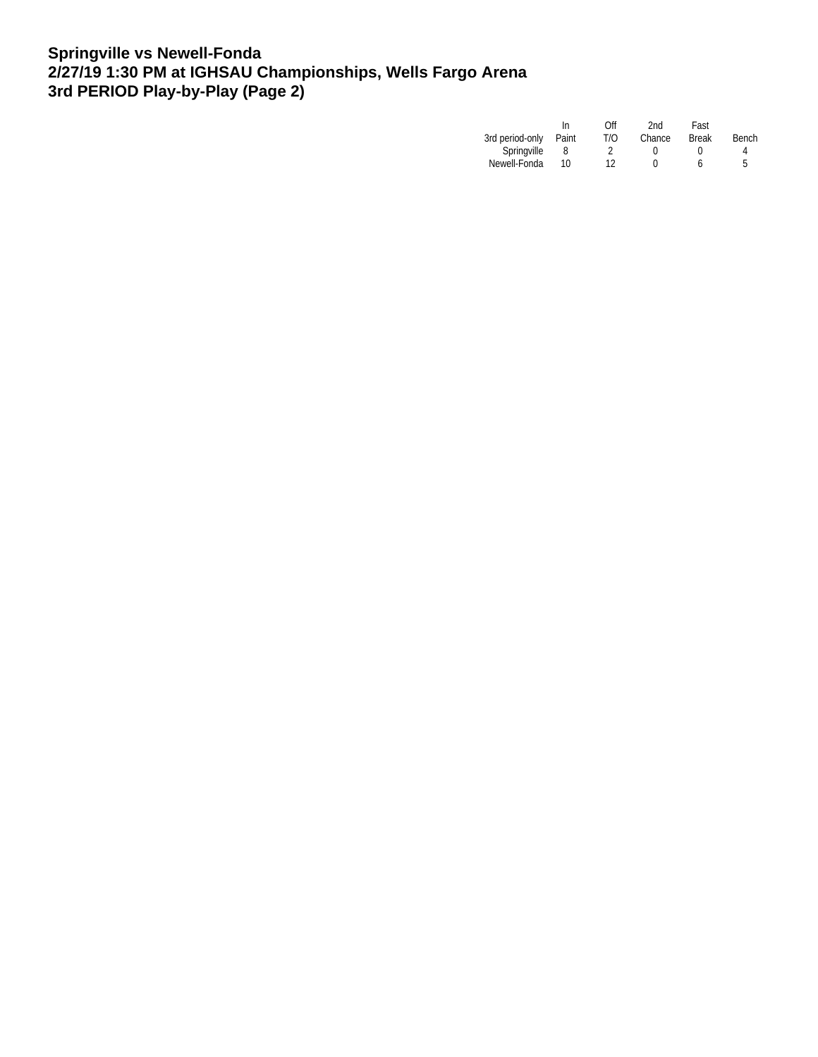## **Springville vs Newell-Fonda 2/27/19 1:30 PM at IGHSAU Championships, Wells Fargo Arena 3rd PERIOD Play-by-Play (Page 2)**

|       | Off | 2nd    | Fast         |       |
|-------|-----|--------|--------------|-------|
| Paint | T/O | Chance | <b>Break</b> | Bench |
|       |     |        |              | 4     |
| 10    | 12  |        |              | 5     |
|       |     |        |              |       |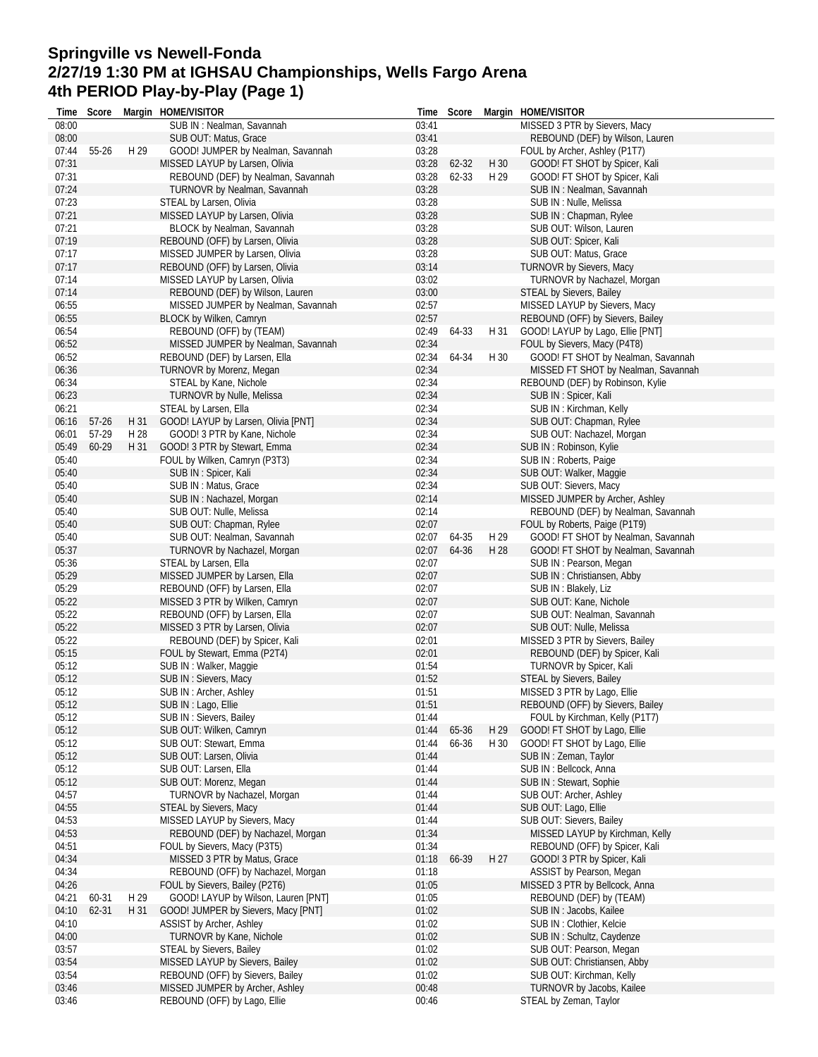# **Springville vs Newell-Fonda 2/27/19 1:30 PM at IGHSAU Championships, Wells Fargo Arena 4th PERIOD Play-by-Play (Page 1)**

| MISSED 3 PTR by Sievers, Macy<br>08:00<br>SUB IN: Nealman, Savannah<br>03:41<br>08:00<br>03:41<br>SUB OUT: Matus, Grace<br>REBOUND (DEF) by Wilson, Lauren<br>07:44<br>55-26<br>H 29<br>03:28<br>GOOD! JUMPER by Nealman, Savannah<br>FOUL by Archer, Ashley (P1T7)<br>07:31<br>MISSED LAYUP by Larsen, Olivia<br>GOOD! FT SHOT by Spicer, Kali<br>03:28<br>62-32<br>H 30<br>07:31<br>REBOUND (DEF) by Nealman, Savannah<br>03:28<br>62-33<br>H 29<br>GOOD! FT SHOT by Spicer, Kali<br>07:24<br>03:28<br>TURNOVR by Nealman, Savannah<br>SUB IN: Nealman, Savannah<br>03:28<br>07:23<br>STEAL by Larsen, Olivia<br>SUB IN: Nulle, Melissa<br>07:21<br>MISSED LAYUP by Larsen, Olivia<br>03:28<br>SUB IN: Chapman, Rylee<br>07:21<br>03:28<br>BLOCK by Nealman, Savannah<br>SUB OUT: Wilson, Lauren<br>07:19<br>03:28<br>REBOUND (OFF) by Larsen, Olivia<br>SUB OUT: Spicer, Kali<br>07:17<br>MISSED JUMPER by Larsen, Olivia<br>03:28<br>SUB OUT: Matus, Grace<br>07:17<br>REBOUND (OFF) by Larsen, Olivia<br>03:14<br>TURNOVR by Sievers, Macy<br>07:14<br>MISSED LAYUP by Larsen, Olivia<br>03:02<br>TURNOVR by Nachazel, Morgan<br>07:14<br>03:00<br>REBOUND (DEF) by Wilson, Lauren<br><b>STEAL by Sievers, Bailey</b><br>06:55<br>02:57<br>MISSED LAYUP by Sievers, Macy<br>MISSED JUMPER by Nealman, Savannah<br>06:55<br>BLOCK by Wilken, Camryn<br>02:57<br>REBOUND (OFF) by Sievers, Bailey<br>06:54<br>REBOUND (OFF) by (TEAM)<br>02:49<br>64-33<br>H 31<br>GOOD! LAYUP by Lago, Ellie [PNT]<br>06:52<br>MISSED JUMPER by Nealman, Savannah<br>02:34<br>FOUL by Sievers, Macy (P4T8)<br>02:34<br>64-34<br>GOOD! FT SHOT by Nealman, Savannah<br>06:52<br>REBOUND (DEF) by Larsen, Ella<br>H 30<br>02:34<br>06:36<br>TURNOVR by Morenz, Megan<br>MISSED FT SHOT by Nealman, Savannah<br>06:34<br>02:34<br>STEAL by Kane, Nichole<br>REBOUND (DEF) by Robinson, Kylie<br>06:23<br>TURNOVR by Nulle, Melissa<br>02:34<br>SUB IN: Spicer, Kali<br>06:21<br>STEAL by Larsen, Ella<br>02:34<br>SUB IN: Kirchman, Kelly<br>H 31<br>GOOD! LAYUP by Larsen, Olivia [PNT]<br>02:34<br>SUB OUT: Chapman, Rylee<br>06:16<br>$57-26$<br>06:01<br>57-29<br>H 28<br>GOOD! 3 PTR by Kane, Nichole<br>02:34<br>SUB OUT: Nachazel, Morgan<br>02:34<br>05:49<br>60-29<br>GOOD! 3 PTR by Stewart, Emma<br>H 31<br>SUB IN: Robinson, Kylie<br>05:40<br>FOUL by Wilken, Camryn (P3T3)<br>02:34<br>SUB IN: Roberts, Paige<br>SUB IN: Spicer, Kali<br>02:34<br>05:40<br>SUB OUT: Walker, Maggie<br>02:34<br>SUB OUT: Sievers, Macy<br>05:40<br>SUB IN: Matus, Grace |  |
|-------------------------------------------------------------------------------------------------------------------------------------------------------------------------------------------------------------------------------------------------------------------------------------------------------------------------------------------------------------------------------------------------------------------------------------------------------------------------------------------------------------------------------------------------------------------------------------------------------------------------------------------------------------------------------------------------------------------------------------------------------------------------------------------------------------------------------------------------------------------------------------------------------------------------------------------------------------------------------------------------------------------------------------------------------------------------------------------------------------------------------------------------------------------------------------------------------------------------------------------------------------------------------------------------------------------------------------------------------------------------------------------------------------------------------------------------------------------------------------------------------------------------------------------------------------------------------------------------------------------------------------------------------------------------------------------------------------------------------------------------------------------------------------------------------------------------------------------------------------------------------------------------------------------------------------------------------------------------------------------------------------------------------------------------------------------------------------------------------------------------------------------------------------------------------------------------------------------------------------------------------------------------------------------------------------------------------------------------------------------------------------------------------------------------------------------------------------------------------------------------------------------------------------------------------|--|
|                                                                                                                                                                                                                                                                                                                                                                                                                                                                                                                                                                                                                                                                                                                                                                                                                                                                                                                                                                                                                                                                                                                                                                                                                                                                                                                                                                                                                                                                                                                                                                                                                                                                                                                                                                                                                                                                                                                                                                                                                                                                                                                                                                                                                                                                                                                                                                                                                                                                                                                                                       |  |
|                                                                                                                                                                                                                                                                                                                                                                                                                                                                                                                                                                                                                                                                                                                                                                                                                                                                                                                                                                                                                                                                                                                                                                                                                                                                                                                                                                                                                                                                                                                                                                                                                                                                                                                                                                                                                                                                                                                                                                                                                                                                                                                                                                                                                                                                                                                                                                                                                                                                                                                                                       |  |
|                                                                                                                                                                                                                                                                                                                                                                                                                                                                                                                                                                                                                                                                                                                                                                                                                                                                                                                                                                                                                                                                                                                                                                                                                                                                                                                                                                                                                                                                                                                                                                                                                                                                                                                                                                                                                                                                                                                                                                                                                                                                                                                                                                                                                                                                                                                                                                                                                                                                                                                                                       |  |
|                                                                                                                                                                                                                                                                                                                                                                                                                                                                                                                                                                                                                                                                                                                                                                                                                                                                                                                                                                                                                                                                                                                                                                                                                                                                                                                                                                                                                                                                                                                                                                                                                                                                                                                                                                                                                                                                                                                                                                                                                                                                                                                                                                                                                                                                                                                                                                                                                                                                                                                                                       |  |
|                                                                                                                                                                                                                                                                                                                                                                                                                                                                                                                                                                                                                                                                                                                                                                                                                                                                                                                                                                                                                                                                                                                                                                                                                                                                                                                                                                                                                                                                                                                                                                                                                                                                                                                                                                                                                                                                                                                                                                                                                                                                                                                                                                                                                                                                                                                                                                                                                                                                                                                                                       |  |
|                                                                                                                                                                                                                                                                                                                                                                                                                                                                                                                                                                                                                                                                                                                                                                                                                                                                                                                                                                                                                                                                                                                                                                                                                                                                                                                                                                                                                                                                                                                                                                                                                                                                                                                                                                                                                                                                                                                                                                                                                                                                                                                                                                                                                                                                                                                                                                                                                                                                                                                                                       |  |
|                                                                                                                                                                                                                                                                                                                                                                                                                                                                                                                                                                                                                                                                                                                                                                                                                                                                                                                                                                                                                                                                                                                                                                                                                                                                                                                                                                                                                                                                                                                                                                                                                                                                                                                                                                                                                                                                                                                                                                                                                                                                                                                                                                                                                                                                                                                                                                                                                                                                                                                                                       |  |
|                                                                                                                                                                                                                                                                                                                                                                                                                                                                                                                                                                                                                                                                                                                                                                                                                                                                                                                                                                                                                                                                                                                                                                                                                                                                                                                                                                                                                                                                                                                                                                                                                                                                                                                                                                                                                                                                                                                                                                                                                                                                                                                                                                                                                                                                                                                                                                                                                                                                                                                                                       |  |
|                                                                                                                                                                                                                                                                                                                                                                                                                                                                                                                                                                                                                                                                                                                                                                                                                                                                                                                                                                                                                                                                                                                                                                                                                                                                                                                                                                                                                                                                                                                                                                                                                                                                                                                                                                                                                                                                                                                                                                                                                                                                                                                                                                                                                                                                                                                                                                                                                                                                                                                                                       |  |
|                                                                                                                                                                                                                                                                                                                                                                                                                                                                                                                                                                                                                                                                                                                                                                                                                                                                                                                                                                                                                                                                                                                                                                                                                                                                                                                                                                                                                                                                                                                                                                                                                                                                                                                                                                                                                                                                                                                                                                                                                                                                                                                                                                                                                                                                                                                                                                                                                                                                                                                                                       |  |
|                                                                                                                                                                                                                                                                                                                                                                                                                                                                                                                                                                                                                                                                                                                                                                                                                                                                                                                                                                                                                                                                                                                                                                                                                                                                                                                                                                                                                                                                                                                                                                                                                                                                                                                                                                                                                                                                                                                                                                                                                                                                                                                                                                                                                                                                                                                                                                                                                                                                                                                                                       |  |
|                                                                                                                                                                                                                                                                                                                                                                                                                                                                                                                                                                                                                                                                                                                                                                                                                                                                                                                                                                                                                                                                                                                                                                                                                                                                                                                                                                                                                                                                                                                                                                                                                                                                                                                                                                                                                                                                                                                                                                                                                                                                                                                                                                                                                                                                                                                                                                                                                                                                                                                                                       |  |
|                                                                                                                                                                                                                                                                                                                                                                                                                                                                                                                                                                                                                                                                                                                                                                                                                                                                                                                                                                                                                                                                                                                                                                                                                                                                                                                                                                                                                                                                                                                                                                                                                                                                                                                                                                                                                                                                                                                                                                                                                                                                                                                                                                                                                                                                                                                                                                                                                                                                                                                                                       |  |
|                                                                                                                                                                                                                                                                                                                                                                                                                                                                                                                                                                                                                                                                                                                                                                                                                                                                                                                                                                                                                                                                                                                                                                                                                                                                                                                                                                                                                                                                                                                                                                                                                                                                                                                                                                                                                                                                                                                                                                                                                                                                                                                                                                                                                                                                                                                                                                                                                                                                                                                                                       |  |
|                                                                                                                                                                                                                                                                                                                                                                                                                                                                                                                                                                                                                                                                                                                                                                                                                                                                                                                                                                                                                                                                                                                                                                                                                                                                                                                                                                                                                                                                                                                                                                                                                                                                                                                                                                                                                                                                                                                                                                                                                                                                                                                                                                                                                                                                                                                                                                                                                                                                                                                                                       |  |
|                                                                                                                                                                                                                                                                                                                                                                                                                                                                                                                                                                                                                                                                                                                                                                                                                                                                                                                                                                                                                                                                                                                                                                                                                                                                                                                                                                                                                                                                                                                                                                                                                                                                                                                                                                                                                                                                                                                                                                                                                                                                                                                                                                                                                                                                                                                                                                                                                                                                                                                                                       |  |
|                                                                                                                                                                                                                                                                                                                                                                                                                                                                                                                                                                                                                                                                                                                                                                                                                                                                                                                                                                                                                                                                                                                                                                                                                                                                                                                                                                                                                                                                                                                                                                                                                                                                                                                                                                                                                                                                                                                                                                                                                                                                                                                                                                                                                                                                                                                                                                                                                                                                                                                                                       |  |
|                                                                                                                                                                                                                                                                                                                                                                                                                                                                                                                                                                                                                                                                                                                                                                                                                                                                                                                                                                                                                                                                                                                                                                                                                                                                                                                                                                                                                                                                                                                                                                                                                                                                                                                                                                                                                                                                                                                                                                                                                                                                                                                                                                                                                                                                                                                                                                                                                                                                                                                                                       |  |
|                                                                                                                                                                                                                                                                                                                                                                                                                                                                                                                                                                                                                                                                                                                                                                                                                                                                                                                                                                                                                                                                                                                                                                                                                                                                                                                                                                                                                                                                                                                                                                                                                                                                                                                                                                                                                                                                                                                                                                                                                                                                                                                                                                                                                                                                                                                                                                                                                                                                                                                                                       |  |
|                                                                                                                                                                                                                                                                                                                                                                                                                                                                                                                                                                                                                                                                                                                                                                                                                                                                                                                                                                                                                                                                                                                                                                                                                                                                                                                                                                                                                                                                                                                                                                                                                                                                                                                                                                                                                                                                                                                                                                                                                                                                                                                                                                                                                                                                                                                                                                                                                                                                                                                                                       |  |
|                                                                                                                                                                                                                                                                                                                                                                                                                                                                                                                                                                                                                                                                                                                                                                                                                                                                                                                                                                                                                                                                                                                                                                                                                                                                                                                                                                                                                                                                                                                                                                                                                                                                                                                                                                                                                                                                                                                                                                                                                                                                                                                                                                                                                                                                                                                                                                                                                                                                                                                                                       |  |
|                                                                                                                                                                                                                                                                                                                                                                                                                                                                                                                                                                                                                                                                                                                                                                                                                                                                                                                                                                                                                                                                                                                                                                                                                                                                                                                                                                                                                                                                                                                                                                                                                                                                                                                                                                                                                                                                                                                                                                                                                                                                                                                                                                                                                                                                                                                                                                                                                                                                                                                                                       |  |
|                                                                                                                                                                                                                                                                                                                                                                                                                                                                                                                                                                                                                                                                                                                                                                                                                                                                                                                                                                                                                                                                                                                                                                                                                                                                                                                                                                                                                                                                                                                                                                                                                                                                                                                                                                                                                                                                                                                                                                                                                                                                                                                                                                                                                                                                                                                                                                                                                                                                                                                                                       |  |
|                                                                                                                                                                                                                                                                                                                                                                                                                                                                                                                                                                                                                                                                                                                                                                                                                                                                                                                                                                                                                                                                                                                                                                                                                                                                                                                                                                                                                                                                                                                                                                                                                                                                                                                                                                                                                                                                                                                                                                                                                                                                                                                                                                                                                                                                                                                                                                                                                                                                                                                                                       |  |
|                                                                                                                                                                                                                                                                                                                                                                                                                                                                                                                                                                                                                                                                                                                                                                                                                                                                                                                                                                                                                                                                                                                                                                                                                                                                                                                                                                                                                                                                                                                                                                                                                                                                                                                                                                                                                                                                                                                                                                                                                                                                                                                                                                                                                                                                                                                                                                                                                                                                                                                                                       |  |
|                                                                                                                                                                                                                                                                                                                                                                                                                                                                                                                                                                                                                                                                                                                                                                                                                                                                                                                                                                                                                                                                                                                                                                                                                                                                                                                                                                                                                                                                                                                                                                                                                                                                                                                                                                                                                                                                                                                                                                                                                                                                                                                                                                                                                                                                                                                                                                                                                                                                                                                                                       |  |
|                                                                                                                                                                                                                                                                                                                                                                                                                                                                                                                                                                                                                                                                                                                                                                                                                                                                                                                                                                                                                                                                                                                                                                                                                                                                                                                                                                                                                                                                                                                                                                                                                                                                                                                                                                                                                                                                                                                                                                                                                                                                                                                                                                                                                                                                                                                                                                                                                                                                                                                                                       |  |
|                                                                                                                                                                                                                                                                                                                                                                                                                                                                                                                                                                                                                                                                                                                                                                                                                                                                                                                                                                                                                                                                                                                                                                                                                                                                                                                                                                                                                                                                                                                                                                                                                                                                                                                                                                                                                                                                                                                                                                                                                                                                                                                                                                                                                                                                                                                                                                                                                                                                                                                                                       |  |
|                                                                                                                                                                                                                                                                                                                                                                                                                                                                                                                                                                                                                                                                                                                                                                                                                                                                                                                                                                                                                                                                                                                                                                                                                                                                                                                                                                                                                                                                                                                                                                                                                                                                                                                                                                                                                                                                                                                                                                                                                                                                                                                                                                                                                                                                                                                                                                                                                                                                                                                                                       |  |
|                                                                                                                                                                                                                                                                                                                                                                                                                                                                                                                                                                                                                                                                                                                                                                                                                                                                                                                                                                                                                                                                                                                                                                                                                                                                                                                                                                                                                                                                                                                                                                                                                                                                                                                                                                                                                                                                                                                                                                                                                                                                                                                                                                                                                                                                                                                                                                                                                                                                                                                                                       |  |
| 05:40<br>02:14<br>MISSED JUMPER by Archer, Ashley<br>SUB IN: Nachazel, Morgan                                                                                                                                                                                                                                                                                                                                                                                                                                                                                                                                                                                                                                                                                                                                                                                                                                                                                                                                                                                                                                                                                                                                                                                                                                                                                                                                                                                                                                                                                                                                                                                                                                                                                                                                                                                                                                                                                                                                                                                                                                                                                                                                                                                                                                                                                                                                                                                                                                                                         |  |
| 05:40<br>SUB OUT: Nulle, Melissa<br>02:14<br>REBOUND (DEF) by Nealman, Savannah                                                                                                                                                                                                                                                                                                                                                                                                                                                                                                                                                                                                                                                                                                                                                                                                                                                                                                                                                                                                                                                                                                                                                                                                                                                                                                                                                                                                                                                                                                                                                                                                                                                                                                                                                                                                                                                                                                                                                                                                                                                                                                                                                                                                                                                                                                                                                                                                                                                                       |  |
| 05:40<br>02:07                                                                                                                                                                                                                                                                                                                                                                                                                                                                                                                                                                                                                                                                                                                                                                                                                                                                                                                                                                                                                                                                                                                                                                                                                                                                                                                                                                                                                                                                                                                                                                                                                                                                                                                                                                                                                                                                                                                                                                                                                                                                                                                                                                                                                                                                                                                                                                                                                                                                                                                                        |  |
| SUB OUT: Chapman, Rylee<br>FOUL by Roberts, Paige (P1T9)                                                                                                                                                                                                                                                                                                                                                                                                                                                                                                                                                                                                                                                                                                                                                                                                                                                                                                                                                                                                                                                                                                                                                                                                                                                                                                                                                                                                                                                                                                                                                                                                                                                                                                                                                                                                                                                                                                                                                                                                                                                                                                                                                                                                                                                                                                                                                                                                                                                                                              |  |
| 64-35<br>GOOD! FT SHOT by Nealman, Savannah<br>05:40<br>SUB OUT: Nealman, Savannah<br>02:07<br>H 29                                                                                                                                                                                                                                                                                                                                                                                                                                                                                                                                                                                                                                                                                                                                                                                                                                                                                                                                                                                                                                                                                                                                                                                                                                                                                                                                                                                                                                                                                                                                                                                                                                                                                                                                                                                                                                                                                                                                                                                                                                                                                                                                                                                                                                                                                                                                                                                                                                                   |  |
| 05:37<br>TURNOVR by Nachazel, Morgan<br>02:07<br>64-36<br>H 28<br>GOOD! FT SHOT by Nealman, Savannah                                                                                                                                                                                                                                                                                                                                                                                                                                                                                                                                                                                                                                                                                                                                                                                                                                                                                                                                                                                                                                                                                                                                                                                                                                                                                                                                                                                                                                                                                                                                                                                                                                                                                                                                                                                                                                                                                                                                                                                                                                                                                                                                                                                                                                                                                                                                                                                                                                                  |  |
| 05:36<br>STEAL by Larsen, Ella<br>02:07<br>SUB IN: Pearson, Megan                                                                                                                                                                                                                                                                                                                                                                                                                                                                                                                                                                                                                                                                                                                                                                                                                                                                                                                                                                                                                                                                                                                                                                                                                                                                                                                                                                                                                                                                                                                                                                                                                                                                                                                                                                                                                                                                                                                                                                                                                                                                                                                                                                                                                                                                                                                                                                                                                                                                                     |  |
| 05:29<br>MISSED JUMPER by Larsen, Ella<br>02:07<br>SUB IN: Christiansen, Abby                                                                                                                                                                                                                                                                                                                                                                                                                                                                                                                                                                                                                                                                                                                                                                                                                                                                                                                                                                                                                                                                                                                                                                                                                                                                                                                                                                                                                                                                                                                                                                                                                                                                                                                                                                                                                                                                                                                                                                                                                                                                                                                                                                                                                                                                                                                                                                                                                                                                         |  |
| 05:29<br>REBOUND (OFF) by Larsen, Ella<br>02:07<br>SUB IN: Blakely, Liz                                                                                                                                                                                                                                                                                                                                                                                                                                                                                                                                                                                                                                                                                                                                                                                                                                                                                                                                                                                                                                                                                                                                                                                                                                                                                                                                                                                                                                                                                                                                                                                                                                                                                                                                                                                                                                                                                                                                                                                                                                                                                                                                                                                                                                                                                                                                                                                                                                                                               |  |
| 05:22<br>MISSED 3 PTR by Wilken, Camryn<br>02:07<br>SUB OUT: Kane, Nichole                                                                                                                                                                                                                                                                                                                                                                                                                                                                                                                                                                                                                                                                                                                                                                                                                                                                                                                                                                                                                                                                                                                                                                                                                                                                                                                                                                                                                                                                                                                                                                                                                                                                                                                                                                                                                                                                                                                                                                                                                                                                                                                                                                                                                                                                                                                                                                                                                                                                            |  |
| 05:22<br>02:07<br>SUB OUT: Nealman, Savannah<br>REBOUND (OFF) by Larsen, Ella                                                                                                                                                                                                                                                                                                                                                                                                                                                                                                                                                                                                                                                                                                                                                                                                                                                                                                                                                                                                                                                                                                                                                                                                                                                                                                                                                                                                                                                                                                                                                                                                                                                                                                                                                                                                                                                                                                                                                                                                                                                                                                                                                                                                                                                                                                                                                                                                                                                                         |  |
| 05:22<br>02:07<br>MISSED 3 PTR by Larsen, Olivia<br>SUB OUT: Nulle, Melissa                                                                                                                                                                                                                                                                                                                                                                                                                                                                                                                                                                                                                                                                                                                                                                                                                                                                                                                                                                                                                                                                                                                                                                                                                                                                                                                                                                                                                                                                                                                                                                                                                                                                                                                                                                                                                                                                                                                                                                                                                                                                                                                                                                                                                                                                                                                                                                                                                                                                           |  |
| 05:22<br>02:01<br>MISSED 3 PTR by Sievers, Bailey<br>REBOUND (DEF) by Spicer, Kali                                                                                                                                                                                                                                                                                                                                                                                                                                                                                                                                                                                                                                                                                                                                                                                                                                                                                                                                                                                                                                                                                                                                                                                                                                                                                                                                                                                                                                                                                                                                                                                                                                                                                                                                                                                                                                                                                                                                                                                                                                                                                                                                                                                                                                                                                                                                                                                                                                                                    |  |
| FOUL by Stewart, Emma (P2T4)<br>02:01<br>05:15<br>REBOUND (DEF) by Spicer, Kali                                                                                                                                                                                                                                                                                                                                                                                                                                                                                                                                                                                                                                                                                                                                                                                                                                                                                                                                                                                                                                                                                                                                                                                                                                                                                                                                                                                                                                                                                                                                                                                                                                                                                                                                                                                                                                                                                                                                                                                                                                                                                                                                                                                                                                                                                                                                                                                                                                                                       |  |
| 05:12<br>SUB IN: Walker, Maggie<br>01:54<br>TURNOVR by Spicer, Kali                                                                                                                                                                                                                                                                                                                                                                                                                                                                                                                                                                                                                                                                                                                                                                                                                                                                                                                                                                                                                                                                                                                                                                                                                                                                                                                                                                                                                                                                                                                                                                                                                                                                                                                                                                                                                                                                                                                                                                                                                                                                                                                                                                                                                                                                                                                                                                                                                                                                                   |  |
| 05:12<br>01:52<br>SUB IN: Sievers, Macy<br>STEAL by Sievers, Bailey                                                                                                                                                                                                                                                                                                                                                                                                                                                                                                                                                                                                                                                                                                                                                                                                                                                                                                                                                                                                                                                                                                                                                                                                                                                                                                                                                                                                                                                                                                                                                                                                                                                                                                                                                                                                                                                                                                                                                                                                                                                                                                                                                                                                                                                                                                                                                                                                                                                                                   |  |
| 05:12<br>SUB IN: Archer, Ashley<br>01:51<br>MISSED 3 PTR by Lago, Ellie                                                                                                                                                                                                                                                                                                                                                                                                                                                                                                                                                                                                                                                                                                                                                                                                                                                                                                                                                                                                                                                                                                                                                                                                                                                                                                                                                                                                                                                                                                                                                                                                                                                                                                                                                                                                                                                                                                                                                                                                                                                                                                                                                                                                                                                                                                                                                                                                                                                                               |  |
| 05:12<br>01:51<br>REBOUND (OFF) by Sievers, Bailey<br>SUB IN: Lago, Ellie                                                                                                                                                                                                                                                                                                                                                                                                                                                                                                                                                                                                                                                                                                                                                                                                                                                                                                                                                                                                                                                                                                                                                                                                                                                                                                                                                                                                                                                                                                                                                                                                                                                                                                                                                                                                                                                                                                                                                                                                                                                                                                                                                                                                                                                                                                                                                                                                                                                                             |  |
| SUB IN: Sievers, Bailey<br>FOUL by Kirchman, Kelly (P1T7)<br>05:12<br>01:44                                                                                                                                                                                                                                                                                                                                                                                                                                                                                                                                                                                                                                                                                                                                                                                                                                                                                                                                                                                                                                                                                                                                                                                                                                                                                                                                                                                                                                                                                                                                                                                                                                                                                                                                                                                                                                                                                                                                                                                                                                                                                                                                                                                                                                                                                                                                                                                                                                                                           |  |
| 05:12<br>SUB OUT: Wilken, Camryn<br>01:44<br>GOOD! FT SHOT by Lago, Ellie<br>65-36<br>H 29                                                                                                                                                                                                                                                                                                                                                                                                                                                                                                                                                                                                                                                                                                                                                                                                                                                                                                                                                                                                                                                                                                                                                                                                                                                                                                                                                                                                                                                                                                                                                                                                                                                                                                                                                                                                                                                                                                                                                                                                                                                                                                                                                                                                                                                                                                                                                                                                                                                            |  |
| 05:12<br>66-36<br>H 30<br>GOOD! FT SHOT by Lago, Ellie<br>SUB OUT: Stewart, Emma<br>01:44                                                                                                                                                                                                                                                                                                                                                                                                                                                                                                                                                                                                                                                                                                                                                                                                                                                                                                                                                                                                                                                                                                                                                                                                                                                                                                                                                                                                                                                                                                                                                                                                                                                                                                                                                                                                                                                                                                                                                                                                                                                                                                                                                                                                                                                                                                                                                                                                                                                             |  |
| 05:12<br>SUB OUT: Larsen, Olivia<br>SUB IN: Zeman, Taylor<br>01:44                                                                                                                                                                                                                                                                                                                                                                                                                                                                                                                                                                                                                                                                                                                                                                                                                                                                                                                                                                                                                                                                                                                                                                                                                                                                                                                                                                                                                                                                                                                                                                                                                                                                                                                                                                                                                                                                                                                                                                                                                                                                                                                                                                                                                                                                                                                                                                                                                                                                                    |  |
| 05:12<br>SUB OUT: Larsen, Ella<br>01:44<br>SUB IN : Bellcock, Anna                                                                                                                                                                                                                                                                                                                                                                                                                                                                                                                                                                                                                                                                                                                                                                                                                                                                                                                                                                                                                                                                                                                                                                                                                                                                                                                                                                                                                                                                                                                                                                                                                                                                                                                                                                                                                                                                                                                                                                                                                                                                                                                                                                                                                                                                                                                                                                                                                                                                                    |  |
| 05:12<br>SUB OUT: Morenz, Megan<br>SUB IN: Stewart, Sophie<br>01:44                                                                                                                                                                                                                                                                                                                                                                                                                                                                                                                                                                                                                                                                                                                                                                                                                                                                                                                                                                                                                                                                                                                                                                                                                                                                                                                                                                                                                                                                                                                                                                                                                                                                                                                                                                                                                                                                                                                                                                                                                                                                                                                                                                                                                                                                                                                                                                                                                                                                                   |  |
| 04:57<br>TURNOVR by Nachazel, Morgan<br>01:44<br>SUB OUT: Archer, Ashley                                                                                                                                                                                                                                                                                                                                                                                                                                                                                                                                                                                                                                                                                                                                                                                                                                                                                                                                                                                                                                                                                                                                                                                                                                                                                                                                                                                                                                                                                                                                                                                                                                                                                                                                                                                                                                                                                                                                                                                                                                                                                                                                                                                                                                                                                                                                                                                                                                                                              |  |
| 04:55<br>STEAL by Sievers, Macy<br>01:44<br>SUB OUT: Lago, Ellie                                                                                                                                                                                                                                                                                                                                                                                                                                                                                                                                                                                                                                                                                                                                                                                                                                                                                                                                                                                                                                                                                                                                                                                                                                                                                                                                                                                                                                                                                                                                                                                                                                                                                                                                                                                                                                                                                                                                                                                                                                                                                                                                                                                                                                                                                                                                                                                                                                                                                      |  |
| 04:53<br>MISSED LAYUP by Sievers, Macy<br>SUB OUT: Sievers, Bailey<br>01:44                                                                                                                                                                                                                                                                                                                                                                                                                                                                                                                                                                                                                                                                                                                                                                                                                                                                                                                                                                                                                                                                                                                                                                                                                                                                                                                                                                                                                                                                                                                                                                                                                                                                                                                                                                                                                                                                                                                                                                                                                                                                                                                                                                                                                                                                                                                                                                                                                                                                           |  |
| 04:53<br>REBOUND (DEF) by Nachazel, Morgan<br>01:34<br>MISSED LAYUP by Kirchman, Kelly                                                                                                                                                                                                                                                                                                                                                                                                                                                                                                                                                                                                                                                                                                                                                                                                                                                                                                                                                                                                                                                                                                                                                                                                                                                                                                                                                                                                                                                                                                                                                                                                                                                                                                                                                                                                                                                                                                                                                                                                                                                                                                                                                                                                                                                                                                                                                                                                                                                                |  |
| 04:51<br>FOUL by Sievers, Macy (P3T5)<br>01:34<br>REBOUND (OFF) by Spicer, Kali                                                                                                                                                                                                                                                                                                                                                                                                                                                                                                                                                                                                                                                                                                                                                                                                                                                                                                                                                                                                                                                                                                                                                                                                                                                                                                                                                                                                                                                                                                                                                                                                                                                                                                                                                                                                                                                                                                                                                                                                                                                                                                                                                                                                                                                                                                                                                                                                                                                                       |  |
| 04:34<br>MISSED 3 PTR by Matus, Grace<br>66-39<br>H 27<br>GOOD! 3 PTR by Spicer, Kali<br>01:18                                                                                                                                                                                                                                                                                                                                                                                                                                                                                                                                                                                                                                                                                                                                                                                                                                                                                                                                                                                                                                                                                                                                                                                                                                                                                                                                                                                                                                                                                                                                                                                                                                                                                                                                                                                                                                                                                                                                                                                                                                                                                                                                                                                                                                                                                                                                                                                                                                                        |  |
| 04:34<br>REBOUND (OFF) by Nachazel, Morgan<br>01:18                                                                                                                                                                                                                                                                                                                                                                                                                                                                                                                                                                                                                                                                                                                                                                                                                                                                                                                                                                                                                                                                                                                                                                                                                                                                                                                                                                                                                                                                                                                                                                                                                                                                                                                                                                                                                                                                                                                                                                                                                                                                                                                                                                                                                                                                                                                                                                                                                                                                                                   |  |
| ASSIST by Pearson, Megan                                                                                                                                                                                                                                                                                                                                                                                                                                                                                                                                                                                                                                                                                                                                                                                                                                                                                                                                                                                                                                                                                                                                                                                                                                                                                                                                                                                                                                                                                                                                                                                                                                                                                                                                                                                                                                                                                                                                                                                                                                                                                                                                                                                                                                                                                                                                                                                                                                                                                                                              |  |
| 04:26<br>FOUL by Sievers, Bailey (P2T6)<br>01:05<br>MISSED 3 PTR by Bellcock, Anna                                                                                                                                                                                                                                                                                                                                                                                                                                                                                                                                                                                                                                                                                                                                                                                                                                                                                                                                                                                                                                                                                                                                                                                                                                                                                                                                                                                                                                                                                                                                                                                                                                                                                                                                                                                                                                                                                                                                                                                                                                                                                                                                                                                                                                                                                                                                                                                                                                                                    |  |
| 04:21<br>H 29<br>GOOD! LAYUP by Wilson, Lauren [PNT]<br>01:05<br>REBOUND (DEF) by (TEAM)<br>60-31                                                                                                                                                                                                                                                                                                                                                                                                                                                                                                                                                                                                                                                                                                                                                                                                                                                                                                                                                                                                                                                                                                                                                                                                                                                                                                                                                                                                                                                                                                                                                                                                                                                                                                                                                                                                                                                                                                                                                                                                                                                                                                                                                                                                                                                                                                                                                                                                                                                     |  |
| 04:10<br>GOOD! JUMPER by Sievers, Macy [PNT]<br>01:02<br>SUB IN : Jacobs, Kailee<br>62-31<br>H 31                                                                                                                                                                                                                                                                                                                                                                                                                                                                                                                                                                                                                                                                                                                                                                                                                                                                                                                                                                                                                                                                                                                                                                                                                                                                                                                                                                                                                                                                                                                                                                                                                                                                                                                                                                                                                                                                                                                                                                                                                                                                                                                                                                                                                                                                                                                                                                                                                                                     |  |
| ASSIST by Archer, Ashley<br>01:02<br>04:10<br>SUB IN: Clothier, Kelcie                                                                                                                                                                                                                                                                                                                                                                                                                                                                                                                                                                                                                                                                                                                                                                                                                                                                                                                                                                                                                                                                                                                                                                                                                                                                                                                                                                                                                                                                                                                                                                                                                                                                                                                                                                                                                                                                                                                                                                                                                                                                                                                                                                                                                                                                                                                                                                                                                                                                                |  |
| 01:02<br>04:00<br><b>TURNOVR by Kane, Nichole</b><br>SUB IN: Schultz, Caydenze                                                                                                                                                                                                                                                                                                                                                                                                                                                                                                                                                                                                                                                                                                                                                                                                                                                                                                                                                                                                                                                                                                                                                                                                                                                                                                                                                                                                                                                                                                                                                                                                                                                                                                                                                                                                                                                                                                                                                                                                                                                                                                                                                                                                                                                                                                                                                                                                                                                                        |  |
| 03:57<br><b>STEAL by Sievers, Bailey</b><br>01:02<br>SUB OUT: Pearson, Megan                                                                                                                                                                                                                                                                                                                                                                                                                                                                                                                                                                                                                                                                                                                                                                                                                                                                                                                                                                                                                                                                                                                                                                                                                                                                                                                                                                                                                                                                                                                                                                                                                                                                                                                                                                                                                                                                                                                                                                                                                                                                                                                                                                                                                                                                                                                                                                                                                                                                          |  |
| 03:54<br>MISSED LAYUP by Sievers, Bailey<br>01:02<br>SUB OUT: Christiansen, Abby                                                                                                                                                                                                                                                                                                                                                                                                                                                                                                                                                                                                                                                                                                                                                                                                                                                                                                                                                                                                                                                                                                                                                                                                                                                                                                                                                                                                                                                                                                                                                                                                                                                                                                                                                                                                                                                                                                                                                                                                                                                                                                                                                                                                                                                                                                                                                                                                                                                                      |  |
| 03:54<br>REBOUND (OFF) by Sievers, Bailey<br>01:02<br>SUB OUT: Kirchman, Kelly                                                                                                                                                                                                                                                                                                                                                                                                                                                                                                                                                                                                                                                                                                                                                                                                                                                                                                                                                                                                                                                                                                                                                                                                                                                                                                                                                                                                                                                                                                                                                                                                                                                                                                                                                                                                                                                                                                                                                                                                                                                                                                                                                                                                                                                                                                                                                                                                                                                                        |  |
| 03:46<br>MISSED JUMPER by Archer, Ashley<br>00:48<br>TURNOVR by Jacobs, Kailee                                                                                                                                                                                                                                                                                                                                                                                                                                                                                                                                                                                                                                                                                                                                                                                                                                                                                                                                                                                                                                                                                                                                                                                                                                                                                                                                                                                                                                                                                                                                                                                                                                                                                                                                                                                                                                                                                                                                                                                                                                                                                                                                                                                                                                                                                                                                                                                                                                                                        |  |
| 03:46<br>REBOUND (OFF) by Lago, Ellie<br>STEAL by Zeman, Taylor<br>00:46                                                                                                                                                                                                                                                                                                                                                                                                                                                                                                                                                                                                                                                                                                                                                                                                                                                                                                                                                                                                                                                                                                                                                                                                                                                                                                                                                                                                                                                                                                                                                                                                                                                                                                                                                                                                                                                                                                                                                                                                                                                                                                                                                                                                                                                                                                                                                                                                                                                                              |  |